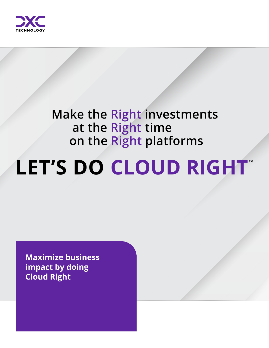

# **Make the Right investments at the Right time on the Right platforms**

# LET'S DO CLOUD RIGHT

**Maximize business impact by doing Cloud Right**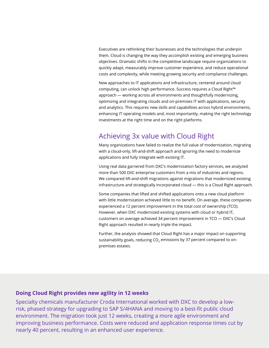Executives are rethinking their businesses and the technologies that underpin them. Cloud is changing the way they accomplish existing and emerging business objectives. Dramatic shifts in the competitive landscape require organizations to quickly adapt, measurably improve customer experience, and reduce operational costs and complexity, while meeting growing security and compliance challenges.

New approaches to IT applications and infrastructure, centered around cloud computing, can unlock high performance. Success requires a Cloud Right™ approach — working across all environments and thoughtfully modernizing, optimizing and integrating clouds and on-premises IT with applications, security and analytics. This requires new skills and capabilities across hybrid environments, enhancing IT operating models and, most importantly, making the right technology investments at the right time and on the right platforms.

## Achieving 3x value with Cloud Right

Many organizations have failed to realize the full value of modernization, migrating with a cloud-only, lift-and-shift approach and ignoring the need to modernize applications and fully integrate with existing IT.

Using real data garnered from DXC's modernization factory services, we analyzed more than 500 DXC enterprise customers from a mix of industries and regions. We compared lift-and-shift migrations against migrations that modernized existing infrastructure and strategically incorporated cloud — this is a Cloud Right approach.

Some companies that lifted and shifted applications onto a new cloud platform with little modernization achieved little to no benefit. On average, these companies experienced a 12 percent improvement in the total cost of ownership (TCO). However, when DXC modernized existing systems with cloud or hybrid IT, customers on average achieved 34 percent improvement in TCO — DXC's Cloud Right approach resulted in nearly triple the impact.

Further, the analysis showed that Cloud Right has a major impact on supporting sustainability goals, reducing CO<sub>2</sub> emissions by 37 percent compared to onpremises estates.

#### **Doing Cloud Right provides new agility in 12 weeks**

Specialty chemicals manufacturer Croda International worked with DXC to develop a lowrisk, phased strategy for upgrading to SAP S/4HANA and moving to a best-fit public cloud environment. The migration took just 12 weeks, creating a more agile environment and improving business performance. Costs were reduced and application response times cut by nearly 40 percent, resulting in an enhanced user experience.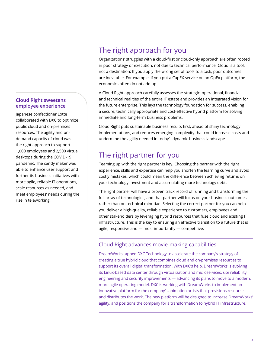#### **Cloud Right sweetens employee experience**

Japanese confectioner Lotte collaborated with DXC to optimize public cloud and on-premises resources. The agility and ondemand capacity of cloud was the right approach to support 1,000 employees and 2,500 virtual desktops during the COVID-19 pandemic. The candy maker was able to enhance user support and further its business initiatives with more agile, reliable IT operations, scale resources as needed, and meet employees' needs during the rise in teleworking.

# The right approach for you

Organizations' struggles with a cloud-first or cloud-only approach are often rooted in poor strategy or execution, not due to technical performance. Cloud is a tool, not a destination: If you apply the wrong set of tools to a task, poor outcomes are inevitable. For example, if you put a CapEX service on an OpEx platform, the economics often do not add up.

A Cloud Right approach carefully assesses the strategic, operational, financial and technical realities of the entire IT estate and provides an integrated vision for the future enterprise. This lays the technology foundation for success, enabling a secure, technically appropriate and cost-effective hybrid platform for solving immediate and long-term business problems.

Cloud Right puts sustainable business results first, ahead of shiny technology implementations, and reduces emerging complexity that could increase costs and undermine the agility needed in today's dynamic business landscape.

# The right partner for you

Teaming up with the right partner is key. Choosing the partner with the right experience, skills and expertise can help you shorten the learning curve and avoid costly mistakes, which could mean the difference between achieving returns on your technology investment and accumulating more technology debt.

The right partner will have a proven track record of running and transforming the full array of technologies, and that partner will focus on your business outcomes rather than on technical minutiae. Selecting the correct partner for you can help you deliver a high-quality, reliable experience to customers, employees and other stakeholders by leveraging hybrid resources that fuse cloud and existing IT infrastructure. This is the key to ensuring an effective transition to a future that is agile, responsive and — most importantly — competitive.

#### Cloud Right advances movie-making capabilities

DreamWorks tapped DXC Technology to accelerate the company's strategy of creating a true hybrid cloud that combines cloud and on-premises resources to support its overall digital transformation. With DXC's help, DreamWorks is evolving its Linux-based data center through virtualization and microservices, site reliability engineering and security improvements — advancing its plans to move to a modern, more agile operating model. DXC is working with DreamWorks to implement an innovative platform for the company's animation artists that provisions resources and distributes the work. The new platform will be designed to increase DreamWorks' agility, and positions the company for a transformation to hybrid IT infrastructure.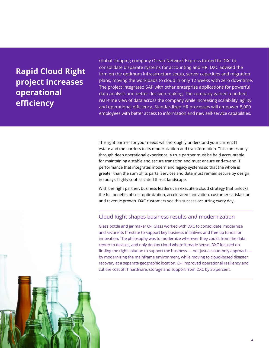# **Rapid Cloud Right project increases operational efficiency**

Global shipping company Ocean Network Express turned to DXC to consolidate disparate systems for accounting and HR. DXC advised the firm on the optimum infrastructure setup, server capacities and migration plans, moving the workloads to cloud in only 12 weeks with zero downtime. The project integrated SAP with other enterprise applications for powerful data analysis and better decision-making. The company gained a unified, real-time view of data across the company while increasing scalability, agility and operational efficiency. Standardized HR processes will empower 8,000 employees with better access to information and new self-service capabilities.

The right partner for your needs will thoroughly understand your current IT estate and the barriers to its modernization and transformation. This comes only through deep operational experience. A true partner must be held accountable for maintaining a stable and secure transition and must ensure end-to-end IT performance that integrates modern and legacy systems so that the whole is greater than the sum of its parts. Services and data must remain secure by design in today's highly sophisticated threat landscape.

With the right partner, business leaders can execute a cloud strategy that unlocks the full benefits of cost optimization, accelerated innovation, customer satisfaction and revenue growth. DXC customers see this success occurring every day.

#### Cloud Right shapes business results and modernization

Glass bottle and jar maker O-I Glass worked with DXC to consolidate, modernize and secure its IT estate to support key business initiatives and free up funds for innovation. The philosophy was to modernize wherever they could, from the data center to devices, and only deploy cloud where it made sense. DXC focused on finding the right solution to support the business — not just a cloud-only approach by modernizing the mainframe environment, while moving to cloud-based disaster recovery at a separate geographic location. O-I improved operational resiliency and cut the cost of IT hardware, storage and support from DXC by 35 percent.